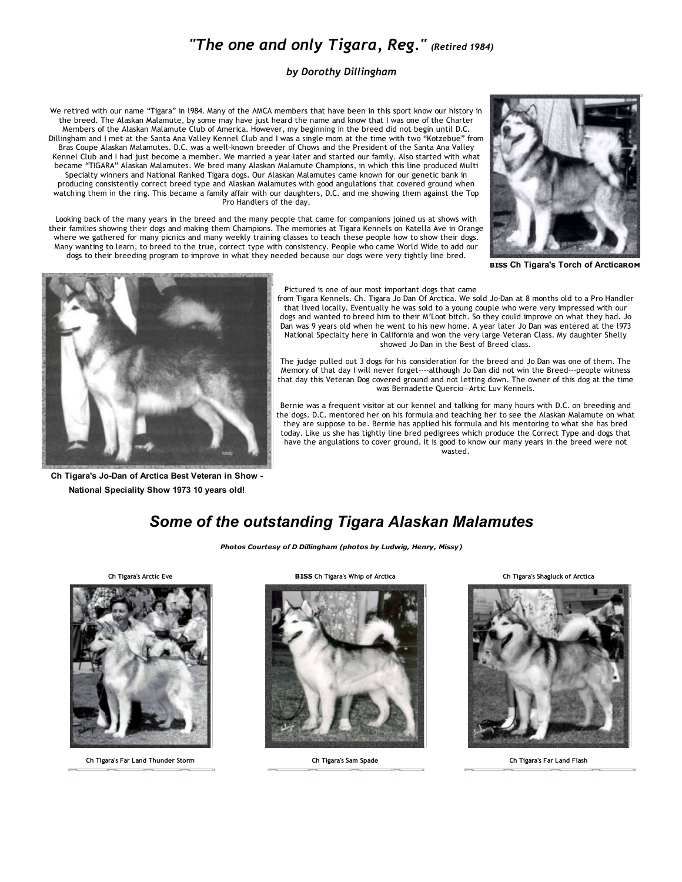## *"The one and only Tigara, Reg." (Retired 1984)*

## *by Dorothy Dillingham*

We retired with our name "Tigara" in l984. Many of the AMCA members that have been in this sport know our history in the breed. The Alaskan Malamute, by some may have just heard the name and know that I was one of the Charter Members of the Alaskan Malamute Club of America. However, my beginning in the breed did not begin until D.C. Dillingham and I met at the Santa Ana Valley Kennel Club and I was a single mom at the time with two "Kotzebue" from Bras Coupe Alaskan Malamutes. D.C. was a well‐known breeder of Chows and the President of the Santa Ana Valley Kennel Club and I had just become a member. We married a year later and started our family. Also started with what became "TIGARA" Alaskan Malamutes. We bred many Alaskan Malamute Champions, in which this line produced Multi Specialty winners and National Ranked Tigara dogs. Our Alaskan Malamutes came known for our genetic bank in producing consistently correct breed type and Alaskan Malamutes with good angulations that covered ground when watching them in the ring. This became a family affair with our daughters, D.C. and me showing them against the Top Pro Handlers of the day.

Looking back of the many years in the breed and the many people that came for companions joined us at shows with their families showing their dogs and making them Champions. The memories at Tigara Kennels on Katella Ave in Orange where we gathered for many picnics and many weekly training classes to teach these people how to show their dogs. Many wanting to learn, to breed to the true, correct type with consistency. People who came World Wide to add our dogs to their breeding program to improve in what they needed because our dogs were very tightly line bred.



BISS Ch Tigara's Torch of ArcticaROM



Ch Tigara's Jo-Dan of Arctica Best Veteran in Show -National Speciality Show 1973 10 years old!

## Pictured is one of our most important dogs that came

from Tigara Kennels. Ch. Tigara Jo Dan Of Arctica. We sold Jo‐Dan at 8 months old to a Pro Handler that lived locally. Eventually he was sold to a young couple who were very impressed with our dogs and wanted to breed him to their M'Loot bitch. So they could improve on what they had. Jo Dan was 9 years old when he went to his new home. A year later Jo Dan was entered at the l973 National Specialty here in California and won the very large Veteran Class. My daughter Shelly showed Jo Dan in the Best of Breed class.

The judge pulled out 3 dogs for his consideration for the breed and Jo Dan was one of them. The Memory of that day I will never forget‐‐‐‐although Jo Dan did not win the Breed‐‐‐people witness that day this Veteran Dog covered ground and not letting down. The owner of this dog at the time was Bernadette Quercio—Artic Luv Kennels.

Bernie was a frequent visitor at our kennel and talking for many hours with D.C. on breeding and the dogs. D.C. mentored her on his formula and teaching her to see the Alaskan Malamute on what they are suppose to be. Bernie has applied his formula and his mentoring to what she has bred today. Like us she has tightly line bred pedigrees which produce the Correct Type and dogs that have the angulations to cover ground. It is good to know our many years in the breed were not wasted.

## *Some of the outstanding Tigara Alaskan Malamutes*

*Photos Courtesy of D Dillingham (photos by Ludwig, Henry, Missy)*



Ch Tigara's Far Land Thunder Storm Ch Tigara's Sam Spade Ch Tigara's Far Land Flash





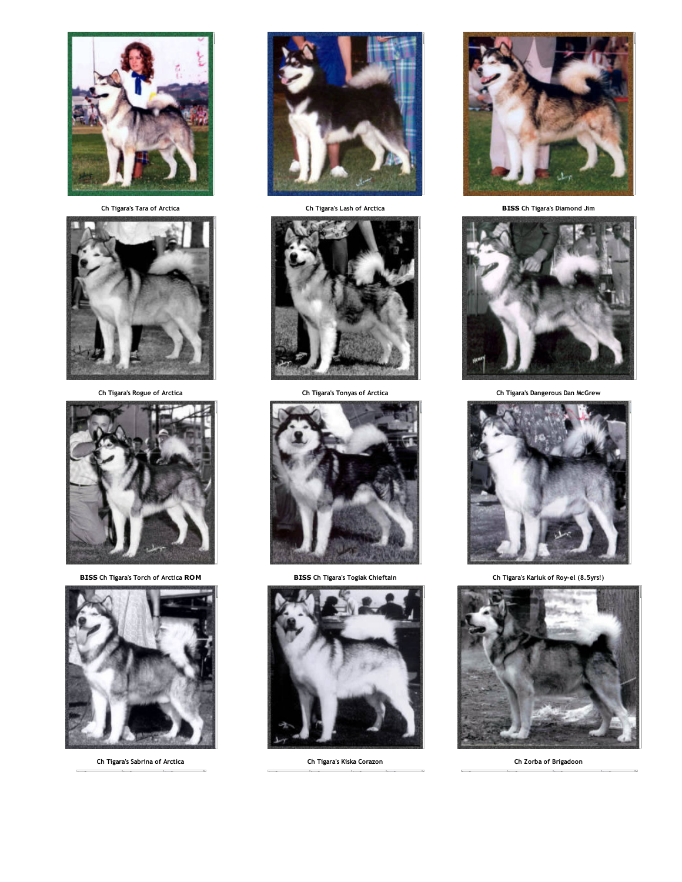

Ch Tigara's Lash of Arctica **Ch Tigara's Lash of Arctica** BISS Ch Tigara's Diamond Jim





BISS Ch Tigara's Torch of Arctica ROM BISS Ch Tigara's Togiak Chieftain Ch Tigara's Karluk of Roy‐el (8.5yrs!)



Ch Tigara's Sabrina of Arctica Ch Tigara's Kiska Corazon Ch Zorba of Brigadoon













Ch Tigara's Rogue of Arctica Ch Tigara's Tonyas of Arctica Ch Tigara's Dangerous Dan McGrew